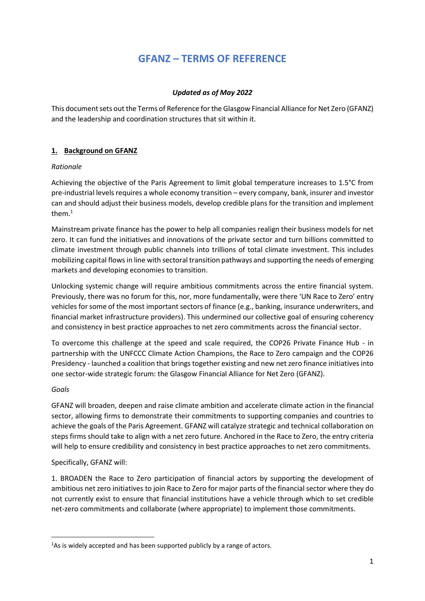# **GFANZ – TERMS OF REFERENCE**

# *Updated as of May 2022*

This document sets out the Terms of Reference for the Glasgow Financial Alliance for Net Zero (GFANZ) and the leadership and coordination structures that sit within it.

# **1. Background on GFANZ**

# *Rationale*

Achieving the objective of the Paris Agreement to limit global temperature increases to 1.5°C from pre-industrial levels requires a whole economy transition – every company, bank, insurer and investor can and should adjust their business models, develop credible plans for the transition and implement them.<sup>1</sup>

Mainstream private finance has the power to help all companies realign their business models for net zero. It can fund the initiatives and innovations of the private sector and turn billions committed to climate investment through public channels into trillions of total climate investment. This includes mobilizing capital flowsin line with sectoral transition pathways and supporting the needs of emerging markets and developing economies to transition.

Unlocking systemic change will require ambitious commitments across the entire financial system. Previously, there was no forum for this, nor, more fundamentally, were there 'UN Race to Zero' entry vehicles for some of the most important sectors of finance (e.g., banking, insurance underwriters, and financial market infrastructure providers). This undermined our collective goal of ensuring coherency and consistency in best practice approaches to net zero commitments across the financial sector.

To overcome this challenge at the speed and scale required, the COP26 Private Finance Hub - in partnership with the UNFCCC Climate Action Champions, the Race to Zero campaign and the COP26 Presidency - launched a coalition that brings together existing and new net zero finance initiatives into one sector-wide strategic forum: the Glasgow Financial Alliance for Net Zero (GFANZ).

# *Goals*

GFANZ will broaden, deepen and raise climate ambition and accelerate climate action in the financial sector, allowing firms to demonstrate their commitments to supporting companies and countries to achieve the goals of the Paris Agreement. GFANZ will catalyze strategic and technical collaboration on steps firms should take to align with a net zero future. Anchored in the Race to Zero, the entry criteria will help to ensure credibility and consistency in best practice approaches to net zero commitments.

# Specifically, GFANZ will:

1. BROADEN the Race to Zero participation of financial actors by supporting the development of ambitious net zero initiatives to join Race to Zero for major parts of the financial sector where they do not currently exist to ensure that financial institutions have a vehicle through which to set credible net-zero commitments and collaborate (where appropriate) to implement those commitments.

<sup>&</sup>lt;sup>1</sup>As is widely accepted and has been supported publicly by a range of actors.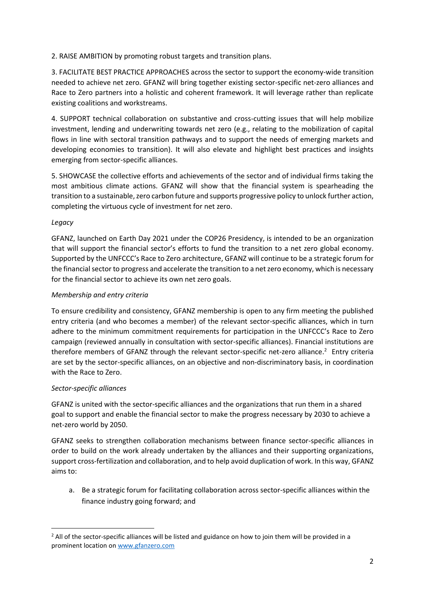2. RAISE AMBITION by promoting robust targets and transition plans.

3. FACILITATE BEST PRACTICE APPROACHES across the sector to support the economy-wide transition needed to achieve net zero. GFANZ will bring together existing sector-specific net-zero alliances and Race to Zero partners into a holistic and coherent framework. It will leverage rather than replicate existing coalitions and workstreams.

4. SUPPORT technical collaboration on substantive and cross-cutting issues that will help mobilize investment, lending and underwriting towards net zero (e.g., relating to the mobilization of capital flows in line with sectoral transition pathways and to support the needs of emerging markets and developing economies to transition). It will also elevate and highlight best practices and insights emerging from sector-specific alliances.

5. SHOWCASE the collective efforts and achievements of the sector and of individual firms taking the most ambitious climate actions. GFANZ will show that the financial system is spearheading the transition to a sustainable, zero carbon future and supports progressive policy to unlock further action, completing the virtuous cycle of investment for net zero.

### *Legacy*

GFANZ, launched on Earth Day 2021 under the COP26 Presidency, is intended to be an organization that will support the financial sector's efforts to fund the transition to a net zero global economy. Supported by the UNFCCC's Race to Zero architecture, GFANZ will continue to be a strategic forum for the financial sector to progress and accelerate the transition to a net zero economy, which is necessary for the financial sector to achieve its own net zero goals.

### *Membership and entry criteria*

To ensure credibility and consistency, GFANZ membership is open to any firm meeting the published entry criteria (and who becomes a member) of the relevant sector-specific alliances, which in turn adhere to the minimum commitment requirements for participation in the UNFCCC's Race to Zero campaign (reviewed annually in consultation with sector-specific alliances). Financial institutions are therefore members of GFANZ through the relevant sector-specific net-zero alliance.<sup>2</sup> Entry criteria are set by the sector-specific alliances, on an objective and non-discriminatory basis, in coordination with the Race to Zero.

### *Sector-specific alliances*

GFANZ is united with the sector-specific alliances and the organizations that run them in a shared goal to support and enable the financial sector to make the progress necessary by 2030 to achieve a net-zero world by 2050.

GFANZ seeks to strengthen collaboration mechanisms between finance sector-specific alliances in order to build on the work already undertaken by the alliances and their supporting organizations, support cross-fertilization and collaboration, and to help avoid duplication of work. In this way, GFANZ aims to:

a. Be a strategic forum for facilitating collaboration across sector-specific alliances within the finance industry going forward; and

 $<sup>2</sup>$  All of the sector-specific alliances will be listed and guidance on how to join them will be provided in a</sup> prominent location on [www.gfanzero.com](http://www.gfanzero.com/)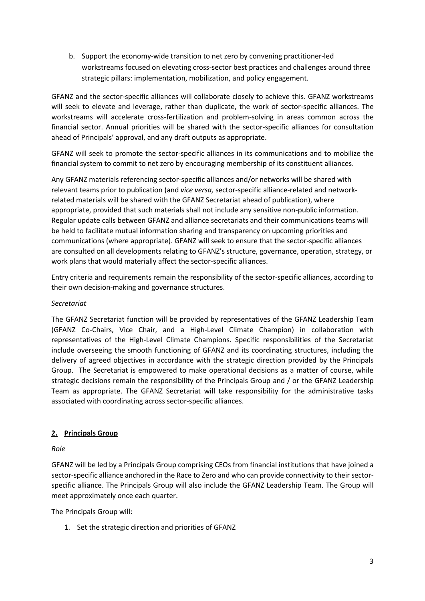b. Support the economy-wide transition to net zero by convening practitioner-led workstreams focused on elevating cross-sector best practices and challenges around three strategic pillars: implementation, mobilization, and policy engagement.

GFANZ and the sector-specific alliances will collaborate closely to achieve this. GFANZ workstreams will seek to elevate and leverage, rather than duplicate, the work of sector-specific alliances. The workstreams will accelerate cross-fertilization and problem-solving in areas common across the financial sector. Annual priorities will be shared with the sector-specific alliances for consultation ahead of Principals' approval, and any draft outputs as appropriate.

GFANZ will seek to promote the sector-specific alliances in its communications and to mobilize the financial system to commit to net zero by encouraging membership of its constituent alliances.

Any GFANZ materials referencing sector-specific alliances and/or networks will be shared with relevant teams prior to publication (and *vice versa,* sector-specific alliance-related and networkrelated materials will be shared with the GFANZ Secretariat ahead of publication), where appropriate, provided that such materials shall not include any sensitive non-public information. Regular update calls between GFANZ and alliance secretariats and their communications teams will be held to facilitate mutual information sharing and transparency on upcoming priorities and communications (where appropriate). GFANZ will seek to ensure that the sector-specific alliances are consulted on all developments relating to GFANZ's structure, governance, operation, strategy, or work plans that would materially affect the sector-specific alliances.

Entry criteria and requirements remain the responsibility of the sector-specific alliances, according to their own decision-making and governance structures.

# *Secretariat*

The GFANZ Secretariat function will be provided by representatives of the GFANZ Leadership Team (GFANZ Co-Chairs, Vice Chair, and a High-Level Climate Champion) in collaboration with representatives of the High-Level Climate Champions. Specific responsibilities of the Secretariat include overseeing the smooth functioning of GFANZ and its coordinating structures, including the delivery of agreed objectives in accordance with the strategic direction provided by the Principals Group. The Secretariat is empowered to make operational decisions as a matter of course, while strategic decisions remain the responsibility of the Principals Group and / or the GFANZ Leadership Team as appropriate. The GFANZ Secretariat will take responsibility for the administrative tasks associated with coordinating across sector-specific alliances.

# **2. Principals Group**

### *Role*

GFANZ will be led by a Principals Group comprising CEOs from financial institutions that have joined a sector-specific alliance anchored in the Race to Zero and who can provide connectivity to their sectorspecific alliance. The Principals Group will also include the GFANZ Leadership Team. The Group will meet approximately once each quarter.

The Principals Group will:

1. Set the strategic direction and priorities of GFANZ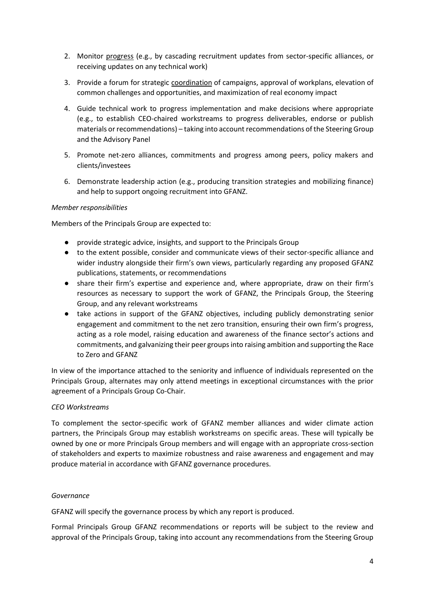- 2. Monitor progress (e.g., by cascading recruitment updates from sector-specific alliances, or receiving updates on any technical work)
- 3. Provide a forum for strategic coordination of campaigns, approval of workplans, elevation of common challenges and opportunities, and maximization of real economy impact
- 4. Guide technical work to progress implementation and make decisions where appropriate (e.g., to establish CEO-chaired workstreams to progress deliverables, endorse or publish materials or recommendations) – taking into account recommendations of the Steering Group and the Advisory Panel
- 5. Promote net-zero alliances, commitments and progress among peers, policy makers and clients/investees
- 6. Demonstrate leadership action (e.g., producing transition strategies and mobilizing finance) and help to support ongoing recruitment into GFANZ.

### *Member responsibilities*

Members of the Principals Group are expected to:

- provide strategic advice, insights, and support to the Principals Group
- to the extent possible, consider and communicate views of their sector-specific alliance and wider industry alongside their firm's own views, particularly regarding any proposed GFANZ publications, statements, or recommendations
- share their firm's expertise and experience and, where appropriate, draw on their firm's resources as necessary to support the work of GFANZ, the Principals Group, the Steering Group, and any relevant workstreams
- take actions in support of the GFANZ objectives, including publicly demonstrating senior engagement and commitment to the net zero transition, ensuring their own firm's progress, acting as a role model, raising education and awareness of the finance sector's actions and commitments, and galvanizing their peer groups into raising ambition and supporting the Race to Zero and GFANZ

In view of the importance attached to the seniority and influence of individuals represented on the Principals Group, alternates may only attend meetings in exceptional circumstances with the prior agreement of a Principals Group Co-Chair.

### *CEO Workstreams*

To complement the sector-specific work of GFANZ member alliances and wider climate action partners, the Principals Group may establish workstreams on specific areas. These will typically be owned by one or more Principals Group members and will engage with an appropriate cross-section of stakeholders and experts to maximize robustness and raise awareness and engagement and may produce material in accordance with GFANZ governance procedures.

### *Governance*

GFANZ will specify the governance process by which any report is produced.

Formal Principals Group GFANZ recommendations or reports will be subject to the review and approval of the Principals Group, taking into account any recommendations from the Steering Group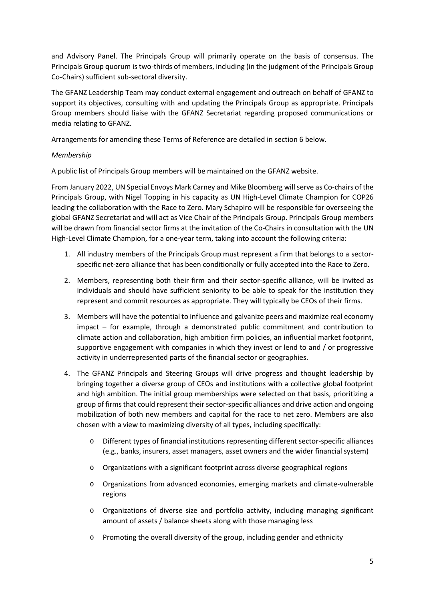and Advisory Panel. The Principals Group will primarily operate on the basis of consensus. The Principals Group quorum is two-thirds of members, including (in the judgment of the Principals Group Co-Chairs) sufficient sub-sectoral diversity.

The GFANZ Leadership Team may conduct external engagement and outreach on behalf of GFANZ to support its objectives, consulting with and updating the Principals Group as appropriate. Principals Group members should liaise with the GFANZ Secretariat regarding proposed communications or media relating to GFANZ.

Arrangements for amending these Terms of Reference are detailed in section 6 below.

### *Membership*

A public list of Principals Group members will be maintained on the GFANZ website.

From January 2022, UN Special Envoys Mark Carney and Mike Bloomberg will serve as Co-chairs of the Principals Group, with Nigel Topping in his capacity as UN High-Level Climate Champion for COP26 leading the collaboration with the Race to Zero. Mary Schapiro will be responsible for overseeing the global GFANZ Secretariat and will act as Vice Chair of the Principals Group. Principals Group members will be drawn from financial sector firms at the invitation of the Co-Chairs in consultation with the UN High-Level Climate Champion, for a one-year term, taking into account the following criteria:

- 1. All industry members of the Principals Group must represent a firm that belongs to a sectorspecific net-zero alliance that has been conditionally or fully accepted into the Race to Zero.
- 2. Members, representing both their firm and their sector-specific alliance, will be invited as individuals and should have sufficient seniority to be able to speak for the institution they represent and commit resources as appropriate. They will typically be CEOs of their firms.
- 3. Members will have the potential to influence and galvanize peers and maximize real economy impact – for example, through a demonstrated public commitment and contribution to climate action and collaboration, high ambition firm policies, an influential market footprint, supportive engagement with companies in which they invest or lend to and / or progressive activity in underrepresented parts of the financial sector or geographies.
- 4. The GFANZ Principals and Steering Groups will drive progress and thought leadership by bringing together a diverse group of CEOs and institutions with a collective global footprint and high ambition. The initial group memberships were selected on that basis, prioritizing a group of firms that could represent their sector-specific alliances and drive action and ongoing mobilization of both new members and capital for the race to net zero. Members are also chosen with a view to maximizing diversity of all types, including specifically:
	- o Different types of financial institutions representing different sector-specific alliances (e.g., banks, insurers, asset managers, asset owners and the wider financial system)
	- o Organizations with a significant footprint across diverse geographical regions
	- o Organizations from advanced economies, emerging markets and climate-vulnerable regions
	- o Organizations of diverse size and portfolio activity, including managing significant amount of assets / balance sheets along with those managing less
	- o Promoting the overall diversity of the group, including gender and ethnicity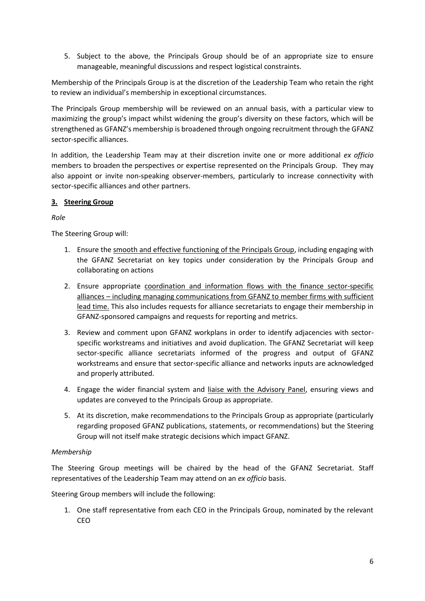5. Subject to the above, the Principals Group should be of an appropriate size to ensure manageable, meaningful discussions and respect logistical constraints.

Membership of the Principals Group is at the discretion of the Leadership Team who retain the right to review an individual's membership in exceptional circumstances.

The Principals Group membership will be reviewed on an annual basis, with a particular view to maximizing the group's impact whilst widening the group's diversity on these factors, which will be strengthened as GFANZ's membership is broadened through ongoing recruitment through the GFANZ sector-specific alliances.

In addition, the Leadership Team may at their discretion invite one or more additional *ex officio*  members to broaden the perspectives or expertise represented on the Principals Group. They may also appoint or invite non-speaking observer-members, particularly to increase connectivity with sector-specific alliances and other partners.

# **3. Steering Group**

# *Role*

The Steering Group will:

- 1. Ensure the smooth and effective functioning of the Principals Group, including engaging with the GFANZ Secretariat on key topics under consideration by the Principals Group and collaborating on actions
- 2. Ensure appropriate coordination and information flows with the finance sector-specific alliances – including managing communications from GFANZ to member firms with sufficient lead time. This also includes requests for alliance secretariats to engage their membership in GFANZ-sponsored campaigns and requests for reporting and metrics.
- 3. Review and comment upon GFANZ workplans in order to identify adjacencies with sectorspecific workstreams and initiatives and avoid duplication. The GFANZ Secretariat will keep sector-specific alliance secretariats informed of the progress and output of GFANZ workstreams and ensure that sector-specific alliance and networks inputs are acknowledged and properly attributed.
- 4. Engage the wider financial system and liaise with the Advisory Panel, ensuring views and updates are conveyed to the Principals Group as appropriate.
- 5. At its discretion, make recommendations to the Principals Group as appropriate (particularly regarding proposed GFANZ publications, statements, or recommendations) but the Steering Group will not itself make strategic decisions which impact GFANZ.

# *Membership*

The Steering Group meetings will be chaired by the head of the GFANZ Secretariat. Staff representatives of the Leadership Team may attend on an *ex officio* basis.

Steering Group members will include the following:

1. One staff representative from each CEO in the Principals Group, nominated by the relevant CEO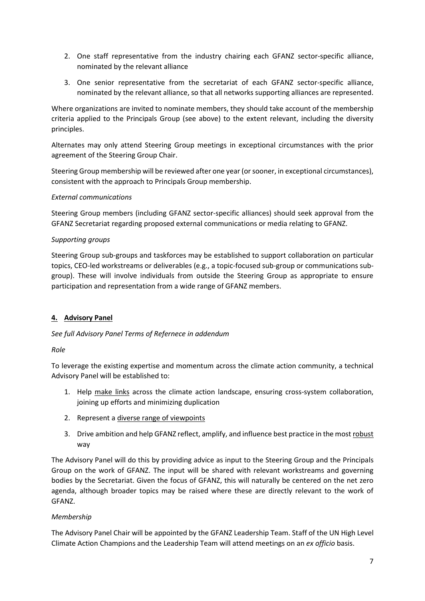- 2. One staff representative from the industry chairing each GFANZ sector-specific alliance, nominated by the relevant alliance
- 3. One senior representative from the secretariat of each GFANZ sector-specific alliance, nominated by the relevant alliance, so that all networks supporting alliances are represented.

Where organizations are invited to nominate members, they should take account of the membership criteria applied to the Principals Group (see above) to the extent relevant, including the diversity principles.

Alternates may only attend Steering Group meetings in exceptional circumstances with the prior agreement of the Steering Group Chair.

Steering Group membership will be reviewed after one year (or sooner, in exceptional circumstances), consistent with the approach to Principals Group membership.

### *External communications*

Steering Group members (including GFANZ sector-specific alliances) should seek approval from the GFANZ Secretariat regarding proposed external communications or media relating to GFANZ.

### *Supporting groups*

Steering Group sub-groups and taskforces may be established to support collaboration on particular topics, CEO-led workstreams or deliverables (e.g., a topic-focused sub-group or communications subgroup). These will involve individuals from outside the Steering Group as appropriate to ensure participation and representation from a wide range of GFANZ members.

# **4. Advisory Panel**

# *See full Advisory Panel Terms of Refernece in addendum*

*Role*

To leverage the existing expertise and momentum across the climate action community, a technical Advisory Panel will be established to:

- 1. Help make links across the climate action landscape, ensuring cross-system collaboration, joining up efforts and minimizing duplication
- 2. Represent a diverse range of viewpoints
- 3. Drive ambition and help GFANZ reflect, amplify, and influence best practice in the most robust way

The Advisory Panel will do this by providing advice as input to the Steering Group and the Principals Group on the work of GFANZ. The input will be shared with relevant workstreams and governing bodies by the Secretariat. Given the focus of GFANZ, this will naturally be centered on the net zero agenda, although broader topics may be raised where these are directly relevant to the work of GFANZ.

# *Membership*

The Advisory Panel Chair will be appointed by the GFANZ Leadership Team. Staff of the UN High Level Climate Action Champions and the Leadership Team will attend meetings on an *ex officio* basis.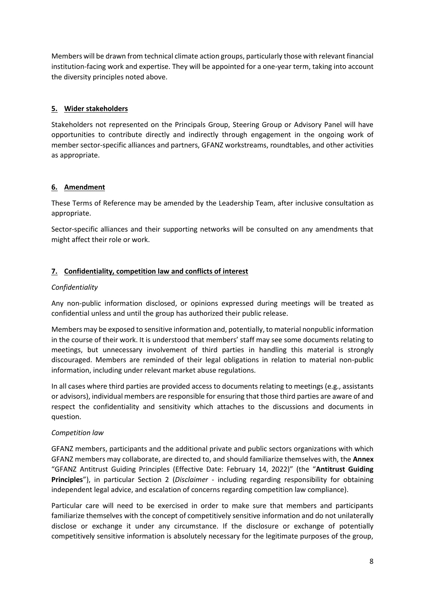Members will be drawn from technical climate action groups, particularly those with relevant financial institution-facing work and expertise. They will be appointed for a one-year term, taking into account the diversity principles noted above.

# **5. Wider stakeholders**

Stakeholders not represented on the Principals Group, Steering Group or Advisory Panel will have opportunities to contribute directly and indirectly through engagement in the ongoing work of member sector-specific alliances and partners, GFANZ workstreams, roundtables, and other activities as appropriate.

# **6. Amendment**

These Terms of Reference may be amended by the Leadership Team, after inclusive consultation as appropriate.

Sector-specific alliances and their supporting networks will be consulted on any amendments that might affect their role or work.

# **7. Confidentiality, competition law and conflicts of interest**

# *Confidentiality*

Any non-public information disclosed, or opinions expressed during meetings will be treated as confidential unless and until the group has authorized their public release.

Members may be exposed to sensitive information and, potentially, to material nonpublic information in the course of their work. It is understood that members' staff may see some documents relating to meetings, but unnecessary involvement of third parties in handling this material is strongly discouraged. Members are reminded of their legal obligations in relation to material non-public information, including under relevant market abuse regulations.

In all cases where third parties are provided access to documents relating to meetings (e.g., assistants or advisors), individual members are responsible for ensuring that those third parties are aware of and respect the confidentiality and sensitivity which attaches to the discussions and documents in question.

# *Competition law*

GFANZ members, participants and the additional private and public sectors organizations with which GFANZ members may collaborate, are directed to, and should familiarize themselves with, the **Annex** "GFANZ Antitrust Guiding Principles (Effective Date: February 14, 2022)" (the "**Antitrust Guiding Principles**"), in particular Section 2 (*Disclaimer -* including regarding responsibility for obtaining independent legal advice, and escalation of concerns regarding competition law compliance).

Particular care will need to be exercised in order to make sure that members and participants familiarize themselves with the concept of competitively sensitive information and do not unilaterally disclose or exchange it under any circumstance. If the disclosure or exchange of potentially competitively sensitive information is absolutely necessary for the legitimate purposes of the group,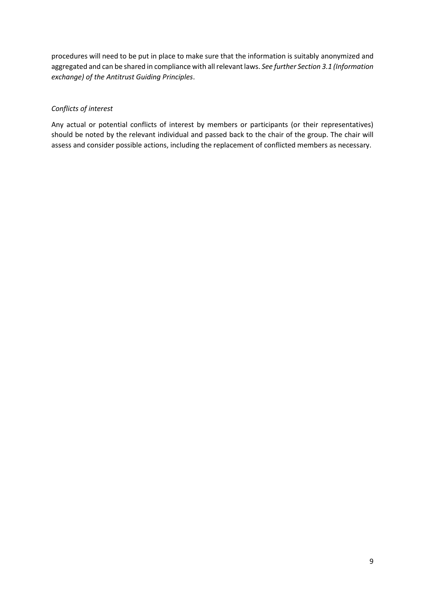procedures will need to be put in place to make sure that the information is suitably anonymized and aggregated and can be shared in compliance with all relevant laws. *See further Section 3.1 (Information exchange) of the Antitrust Guiding Principles*.

# *Conflicts of interest*

Any actual or potential conflicts of interest by members or participants (or their representatives) should be noted by the relevant individual and passed back to the chair of the group. The chair will assess and consider possible actions, including the replacement of conflicted members as necessary.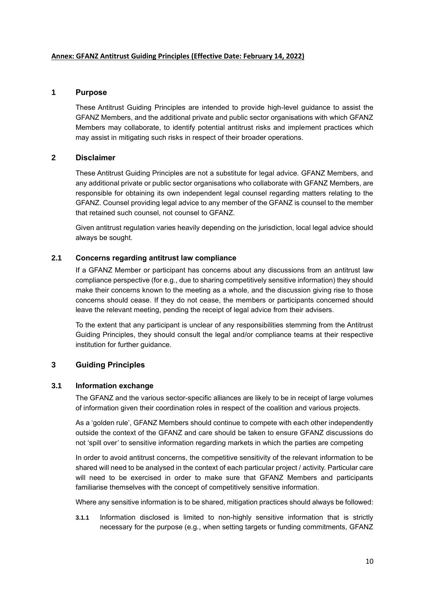### **Annex: GFANZ Antitrust Guiding Principles (Effective Date: February 14, 2022)**

### **1 Purpose**

These Antitrust Guiding Principles are intended to provide high-level guidance to assist the GFANZ Members, and the additional private and public sector organisations with which GFANZ Members may collaborate, to identify potential antitrust risks and implement practices which may assist in mitigating such risks in respect of their broader operations.

### **2 Disclaimer**

These Antitrust Guiding Principles are not a substitute for legal advice. GFANZ Members, and any additional private or public sector organisations who collaborate with GFANZ Members, are responsible for obtaining its own independent legal counsel regarding matters relating to the GFANZ. Counsel providing legal advice to any member of the GFANZ is counsel to the member that retained such counsel, not counsel to GFANZ.

Given antitrust regulation varies heavily depending on the jurisdiction, local legal advice should always be sought.

### **2.1 Concerns regarding antitrust law compliance**

If a GFANZ Member or participant has concerns about any discussions from an antitrust law compliance perspective (for e.g., due to sharing competitively sensitive information) they should make their concerns known to the meeting as a whole, and the discussion giving rise to those concerns should cease. If they do not cease, the members or participants concerned should leave the relevant meeting, pending the receipt of legal advice from their advisers.

To the extent that any participant is unclear of any responsibilities stemming from the Antitrust Guiding Principles, they should consult the legal and/or compliance teams at their respective institution for further guidance.

# **3 Guiding Principles**

### **3.1 Information exchange**

The GFANZ and the various sector-specific alliances are likely to be in receipt of large volumes of information given their coordination roles in respect of the coalition and various projects.

As a 'golden rule', GFANZ Members should continue to compete with each other independently outside the context of the GFANZ and care should be taken to ensure GFANZ discussions do not 'spill over' to sensitive information regarding markets in which the parties are competing

In order to avoid antitrust concerns, the competitive sensitivity of the relevant information to be shared will need to be analysed in the context of each particular project / activity. Particular care will need to be exercised in order to make sure that GFANZ Members and participants familiarise themselves with the concept of competitively sensitive information.

Where any sensitive information is to be shared, mitigation practices should always be followed:

**3.1.1** Information disclosed is limited to non-highly sensitive information that is strictly necessary for the purpose (e.g., when setting targets or funding commitments, GFANZ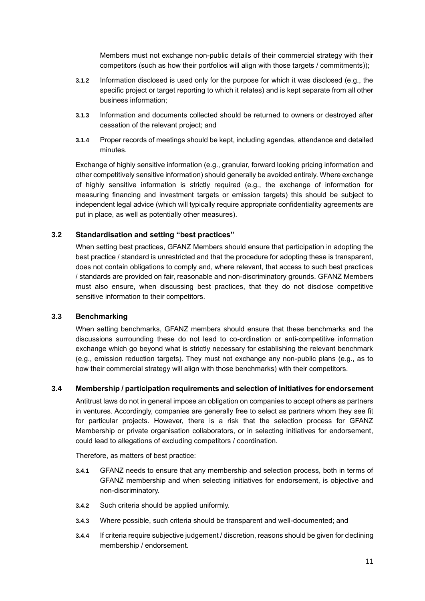Members must not exchange non-public details of their commercial strategy with their competitors (such as how their portfolios will align with those targets / commitments));

- **3.1.2** Information disclosed is used only for the purpose for which it was disclosed (e.g., the specific project or target reporting to which it relates) and is kept separate from all other business information;
- **3.1.3** Information and documents collected should be returned to owners or destroyed after cessation of the relevant project; and
- **3.1.4** Proper records of meetings should be kept, including agendas, attendance and detailed minutes.

Exchange of highly sensitive information (e.g., granular, forward looking pricing information and other competitively sensitive information) should generally be avoided entirely. Where exchange of highly sensitive information is strictly required (e.g., the exchange of information for measuring financing and investment targets or emission targets) this should be subject to independent legal advice (which will typically require appropriate confidentiality agreements are put in place, as well as potentially other measures).

### **3.2 Standardisation and setting "best practices"**

When setting best practices, GFANZ Members should ensure that participation in adopting the best practice / standard is unrestricted and that the procedure for adopting these is transparent, does not contain obligations to comply and, where relevant, that access to such best practices / standards are provided on fair, reasonable and non-discriminatory grounds. GFANZ Members must also ensure, when discussing best practices, that they do not disclose competitive sensitive information to their competitors.

### **3.3 Benchmarking**

When setting benchmarks, GFANZ members should ensure that these benchmarks and the discussions surrounding these do not lead to co-ordination or anti-competitive information exchange which go beyond what is strictly necessary for establishing the relevant benchmark (e.g., emission reduction targets). They must not exchange any non-public plans (e.g., as to how their commercial strategy will align with those benchmarks) with their competitors.

### **3.4 Membership / participation requirements and selection of initiatives for endorsement**

Antitrust laws do not in general impose an obligation on companies to accept others as partners in ventures. Accordingly, companies are generally free to select as partners whom they see fit for particular projects. However, there is a risk that the selection process for GFANZ Membership or private organisation collaborators, or in selecting initiatives for endorsement, could lead to allegations of excluding competitors / coordination.

Therefore, as matters of best practice:

- **3.4.1** GFANZ needs to ensure that any membership and selection process, both in terms of GFANZ membership and when selecting initiatives for endorsement, is objective and non-discriminatory.
- **3.4.2** Such criteria should be applied uniformly.
- **3.4.3** Where possible, such criteria should be transparent and well-documented; and
- **3.4.4** If criteria require subjective judgement / discretion, reasons should be given for declining membership / endorsement.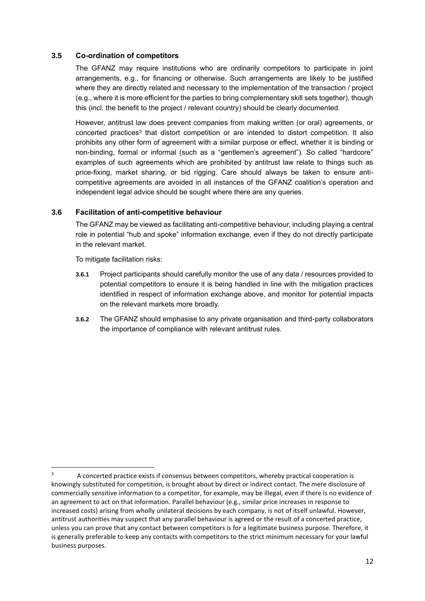### **3.5 Co-ordination of competitors**

The GFANZ may require institutions who are ordinarily competitors to participate in joint arrangements, e.g., for financing or otherwise. Such arrangements are likely to be justified where they are directly related and necessary to the implementation of the transaction / project (e.g., where it is more efficient for the parties to bring complementary skill sets together), though this (incl. the benefit to the project / relevant country) should be clearly documented.

However, antitrust law does prevent companies from making written (or oral) agreements, or concerted practices<sup>3</sup> that distort competition or are intended to distort competition. It also prohibits any other form of agreement with a similar purpose or effect, whether it is binding or non-binding, formal or informal (such as a "gentlemen's agreement"). So called "hardcore" examples of such agreements which are prohibited by antitrust law relate to things such as price-fixing, market sharing, or bid rigging. Care should always be taken to ensure anticompetitive agreements are avoided in all instances of the GFANZ coalition's operation and independent legal advice should be sought where there are any queries.

### **3.6 Facilitation of anti-competitive behaviour**

The GFANZ may be viewed as facilitating anti-competitive behaviour, including playing a central role in potential "hub and spoke" information exchange, even if they do not directly participate in the relevant market.

To mitigate facilitation risks:

- **3.6.1** Project participants should carefully monitor the use of any data / resources provided to potential competitors to ensure it is being handled in line with the mitigation practices identified in respect of information exchange above, and monitor for potential impacts on the relevant markets more broadly.
- **3.6.2** The GFANZ should emphasise to any private organisation and third-party collaborators the importance of compliance with relevant antitrust rules.

<sup>&</sup>lt;sup>3</sup> A concerted practice exists if consensus between competitors, whereby practical cooperation is knowingly substituted for competition, is brought about by direct or indirect contact. The mere disclosure of commercially sensitive information to a competitor, for example, may be illegal, even if there is no evidence of an agreement to act on that information. Parallel behaviour (e.g., similar price increases in response to increased costs) arising from wholly unilateral decisions by each company, is not of itself unlawful. However, antitrust authorities may suspect that any parallel behaviour is agreed or the result of a concerted practice, unless you can prove that any contact between competitors is for a legitimate business purpose. Therefore, it is generally preferable to keep any contacts with competitors to the strict minimum necessary for your lawful business purposes.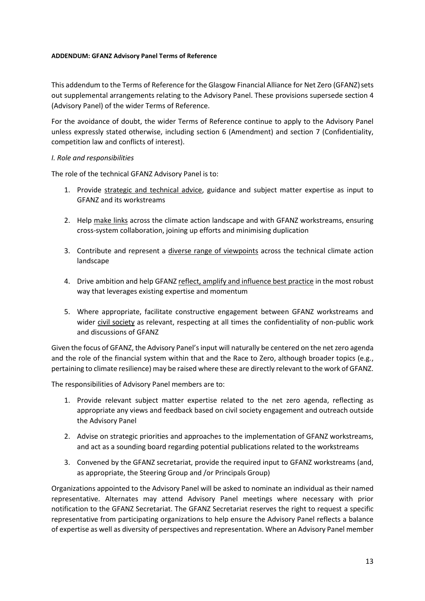### **ADDENDUM: GFANZ Advisory Panel Terms of Reference**

This addendum to the Terms of Reference for the Glasgow Financial Alliance for Net Zero (GFANZ) sets out supplemental arrangements relating to the Advisory Panel. These provisions supersede section 4 (Advisory Panel) of the wider Terms of Reference.

For the avoidance of doubt, the wider Terms of Reference continue to apply to the Advisory Panel unless expressly stated otherwise, including section 6 (Amendment) and section 7 (Confidentiality, competition law and conflicts of interest).

### *I. Role and responsibilities*

The role of the technical GFANZ Advisory Panel is to:

- 1. Provide strategic and technical advice, guidance and subject matter expertise as input to GFANZ and its workstreams
- 2. Help make links across the climate action landscape and with GFANZ workstreams, ensuring cross-system collaboration, joining up efforts and minimising duplication
- 3. Contribute and represent a *diverse range of viewpoints* across the technical climate action landscape
- 4. Drive ambition and help GFANZ reflect, amplify and influence best practice in the most robust way that leverages existing expertise and momentum
- 5. Where appropriate, facilitate constructive engagement between GFANZ workstreams and wider civil society as relevant, respecting at all times the confidentiality of non-public work and discussions of GFANZ

Given the focus of GFANZ, the Advisory Panel's input will naturally be centered on the net zero agenda and the role of the financial system within that and the Race to Zero, although broader topics (e.g., pertaining to climate resilience) may be raised where these are directly relevant to the work of GFANZ.

The responsibilities of Advisory Panel members are to:

- 1. Provide relevant subject matter expertise related to the net zero agenda, reflecting as appropriate any views and feedback based on civil society engagement and outreach outside the Advisory Panel
- 2. Advise on strategic priorities and approaches to the implementation of GFANZ workstreams, and act as a sounding board regarding potential publications related to the workstreams
- 3. Convened by the GFANZ secretariat, provide the required input to GFANZ workstreams (and, as appropriate, the Steering Group and /or Principals Group)

Organizations appointed to the Advisory Panel will be asked to nominate an individual as their named representative. Alternates may attend Advisory Panel meetings where necessary with prior notification to the GFANZ Secretariat. The GFANZ Secretariat reserves the right to request a specific representative from participating organizations to help ensure the Advisory Panel reflects a balance of expertise as well as diversity of perspectives and representation. Where an Advisory Panel member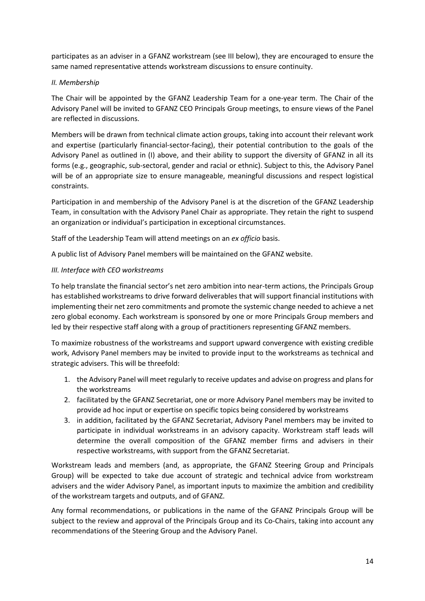participates as an adviser in a GFANZ workstream (see III below), they are encouraged to ensure the same named representative attends workstream discussions to ensure continuity.

# *II. Membership*

The Chair will be appointed by the GFANZ Leadership Team for a one-year term. The Chair of the Advisory Panel will be invited to GFANZ CEO Principals Group meetings, to ensure views of the Panel are reflected in discussions.

Members will be drawn from technical climate action groups, taking into account their relevant work and expertise (particularly financial-sector-facing), their potential contribution to the goals of the Advisory Panel as outlined in (I) above, and their ability to support the diversity of GFANZ in all its forms (e.g., geographic, sub-sectoral, gender and racial or ethnic). Subject to this, the Advisory Panel will be of an appropriate size to ensure manageable, meaningful discussions and respect logistical constraints.

Participation in and membership of the Advisory Panel is at the discretion of the GFANZ Leadership Team, in consultation with the Advisory Panel Chair as appropriate. They retain the right to suspend an organization or individual's participation in exceptional circumstances.

Staff of the Leadership Team will attend meetings on an *ex officio* basis.

A public list of Advisory Panel members will be maintained on the GFANZ website.

### *III. Interface with CEO workstreams*

To help translate the financial sector's net zero ambition into near-term actions, the Principals Group has established workstreams to drive forward deliverables that will support financial institutions with implementing their net zero commitments and promote the systemic change needed to achieve a net zero global economy. Each workstream is sponsored by one or more Principals Group members and led by their respective staff along with a group of practitioners representing GFANZ members.

To maximize robustness of the workstreams and support upward convergence with existing credible work, Advisory Panel members may be invited to provide input to the workstreams as technical and strategic advisers. This will be threefold:

- 1. the Advisory Panel will meet regularly to receive updates and advise on progress and plans for the workstreams
- 2. facilitated by the GFANZ Secretariat, one or more Advisory Panel members may be invited to provide ad hoc input or expertise on specific topics being considered by workstreams
- 3. in addition, facilitated by the GFANZ Secretariat, Advisory Panel members may be invited to participate in individual workstreams in an advisory capacity. Workstream staff leads will determine the overall composition of the GFANZ member firms and advisers in their respective workstreams, with support from the GFANZ Secretariat.

Workstream leads and members (and, as appropriate, the GFANZ Steering Group and Principals Group) will be expected to take due account of strategic and technical advice from workstream advisers and the wider Advisory Panel, as important inputs to maximize the ambition and credibility of the workstream targets and outputs, and of GFANZ.

Any formal recommendations, or publications in the name of the GFANZ Principals Group will be subject to the review and approval of the Principals Group and its Co-Chairs, taking into account any recommendations of the Steering Group and the Advisory Panel.